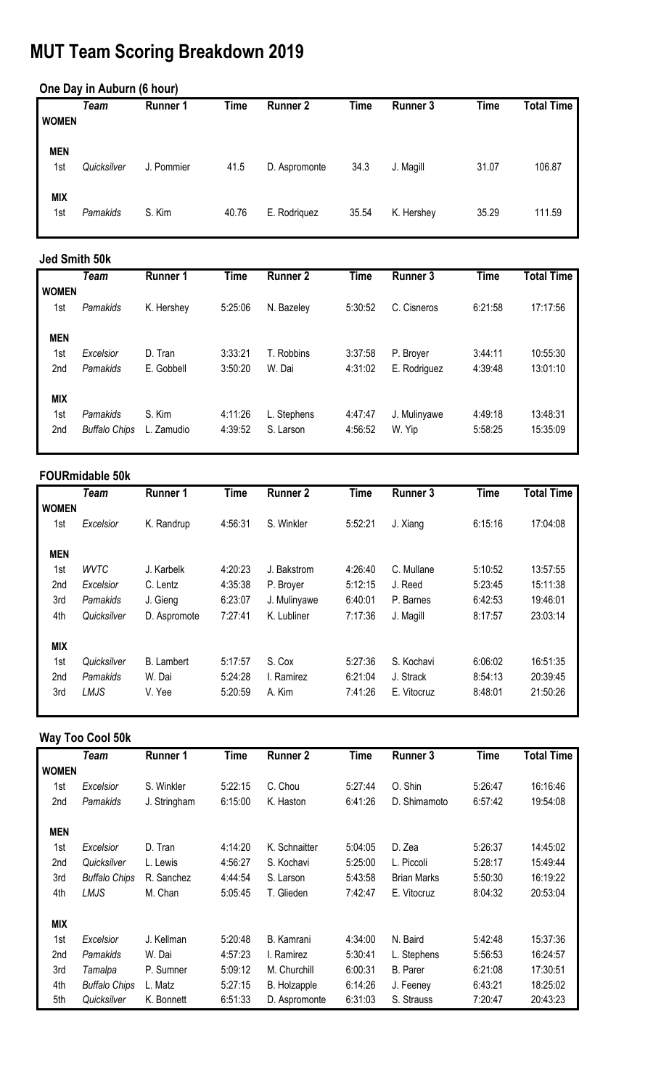# **MUT Team Scoring Breakdown 2019**

#### **One Day in Auburn (6 hour)**

|              | Team        | <b>Runner 1</b> | <b>Time</b> | <b>Runner 2</b> | <b>Time</b> | <b>Runner 3</b> | Time  | <b>Total Time</b> |
|--------------|-------------|-----------------|-------------|-----------------|-------------|-----------------|-------|-------------------|
| <b>WOMEN</b> |             |                 |             |                 |             |                 |       |                   |
| <b>MEN</b>   |             |                 |             |                 |             |                 |       |                   |
| 1st          | Quicksilver | J. Pommier      | 41.5        | D. Aspromonte   | 34.3        | J. Magill       | 31.07 | 106.87            |
| <b>MIX</b>   |             |                 |             |                 |             |                 |       |                   |
| 1st          | Pamakids    | S. Kim          | 40.76       | E. Rodriguez    | 35.54       | K. Hershey      | 35.29 | 111.59            |
|              |             |                 |             |                 |             |                 |       |                   |

#### **Jed Smith 50k**

|              | Team                 | <b>Runner 1</b> | <b>Time</b> | <b>Runner 2</b> | <b>Time</b> | <b>Runner 3</b> | <b>Time</b> | <b>Total Time</b> |
|--------------|----------------------|-----------------|-------------|-----------------|-------------|-----------------|-------------|-------------------|
| <b>WOMEN</b> |                      |                 |             |                 |             |                 |             |                   |
| 1st          | Pamakids             | K. Hershey      | 5:25:06     | N. Bazeley      | 5:30:52     | C. Cisneros     | 6:21:58     | 17:17:56          |
|              |                      |                 |             |                 |             |                 |             |                   |
| <b>MEN</b>   |                      |                 |             |                 |             |                 |             |                   |
| 1st          | Excelsior            | D. Tran         | 3:33:21     | T. Robbins      | 3:37:58     | P. Broyer       | 3:44:11     | 10:55:30          |
| 2nd          | Pamakids             | E. Gobbell      | 3:50:20     | W. Dai          | 4:31:02     | E. Rodriguez    | 4:39:48     | 13:01:10          |
|              |                      |                 |             |                 |             |                 |             |                   |
| <b>MIX</b>   |                      |                 |             |                 |             |                 |             |                   |
| 1st          | Pamakids             | S. Kim          | 4:11:26     | L. Stephens     | 4:47:47     | J. Mulinyawe    | 4:49:18     | 13:48:31          |
| 2nd          | <b>Buffalo Chips</b> | Zamudio         | 4:39:52     | S. Larson       | 4:56:52     | W. Yip          | 5:58:25     | 15:35:09          |
|              |                      |                 |             |                 |             |                 |             |                   |

#### **FOURmidable 50k**

|                 | <b>Team</b> | <b>Runner 1</b>   | <b>Time</b> | <b>Runner 2</b> | <b>Time</b> | <b>Runner 3</b> | <b>Time</b> | <b>Total Time</b> |
|-----------------|-------------|-------------------|-------------|-----------------|-------------|-----------------|-------------|-------------------|
| <b>WOMEN</b>    |             |                   |             |                 |             |                 |             |                   |
| 1st             | Excelsior   | K. Randrup        | 4:56:31     | S. Winkler      | 5:52:21     | J. Xiang        | 6:15:16     | 17:04:08          |
| <b>MEN</b>      |             |                   |             |                 |             |                 |             |                   |
| 1st             | <b>WVTC</b> | J. Karbelk        | 4:20:23     | J. Bakstrom     | 4:26:40     | C. Mullane      | 5:10:52     | 13:57:55          |
| 2nd             | Excelsior   | C. Lentz          | 4:35:38     | P. Broyer       | 5:12:15     | J. Reed         | 5:23:45     | 15:11:38          |
| 3rd             | Pamakids    | J. Gieng          | 6:23:07     | J. Mulinyawe    | 6:40:01     | P. Barnes       | 6:42:53     | 19:46:01          |
| 4th             | Quicksilver | D. Aspromote      | 7:27:41     | K. Lubliner     | 7:17:36     | J. Magill       | 8:17:57     | 23:03:14          |
| <b>MIX</b>      |             |                   |             |                 |             |                 |             |                   |
| 1st             | Quicksilver | <b>B.</b> Lambert | 5:17:57     | S. Cox          | 5:27:36     | S. Kochavi      | 6:06:02     | 16:51:35          |
| 2 <sub>nd</sub> | Pamakids    | W. Dai            | 5:24:28     | I. Ramirez      | 6:21:04     | J. Strack       | 8:54:13     | 20:39:45          |
| 3rd             | LMJS        | V. Yee            | 5:20:59     | A. Kim          | 7:41:26     | E. Vitocruz     | 8:48:01     | 21:50:26          |

### **Way Too Cool 50k**

|                 | <b>Team</b>          | <b>Runner 1</b> | <b>Time</b> | <b>Runner 2</b> | <b>Time</b> | <b>Runner 3</b>    | <b>Time</b> | <b>Total Time</b> |
|-----------------|----------------------|-----------------|-------------|-----------------|-------------|--------------------|-------------|-------------------|
| <b>WOMEN</b>    |                      |                 |             |                 |             |                    |             |                   |
| 1st             | Excelsior            | S. Winkler      | 5:22:15     | C. Chou         | 5:27:44     | O. Shin            | 5:26:47     | 16:16:46          |
| 2nd             | Pamakids             | J. Stringham    | 6:15:00     | K. Haston       | 6:41:26     | D. Shimamoto       | 6:57:42     | 19:54:08          |
|                 |                      |                 |             |                 |             |                    |             |                   |
| <b>MEN</b>      |                      |                 |             |                 |             |                    |             |                   |
| 1st             | Excelsior            | D. Tran         | 4:14:20     | K. Schnaitter   | 5:04:05     | D. Zea             | 5:26:37     | 14:45:02          |
| 2nd             | Quicksilver          | L. Lewis        | 4:56:27     | S. Kochavi      | 5:25:00     | L. Piccoli         | 5:28:17     | 15:49:44          |
| 3rd             | <b>Buffalo Chips</b> | R. Sanchez      | 4:44:54     | S. Larson       | 5:43:58     | <b>Brian Marks</b> | 5:50:30     | 16:19:22          |
| 4th             | LMJS                 | M. Chan         | 5:05:45     | T. Glieden      | 7:42:47     | E. Vitocruz        | 8:04:32     | 20:53:04          |
| <b>MIX</b>      |                      |                 |             |                 |             |                    |             |                   |
| 1st             | Excelsior            | J. Kellman      | 5:20:48     | B. Kamrani      | 4:34:00     | N. Baird           | 5:42:48     | 15:37:36          |
| 2 <sub>nd</sub> | Pamakids             | W. Dai          | 4:57:23     | I. Ramirez      | 5:30:41     | L. Stephens        | 5:56:53     | 16:24:57          |
| 3rd             | Tamalpa              | P. Sumner       | 5:09:12     | M. Churchill    | 6:00:31     | <b>B.</b> Parer    | 6:21:08     | 17:30:51          |
| 4th             | <b>Buffalo Chips</b> | L. Matz         | 5:27:15     | B. Holzapple    | 6:14:26     | J. Feeney          | 6:43:21     | 18:25:02          |
| 5th             | Quicksilver          | K. Bonnett      | 6:51:33     | D. Aspromonte   | 6:31:03     | S. Strauss         | 7:20:47     | 20:43:23          |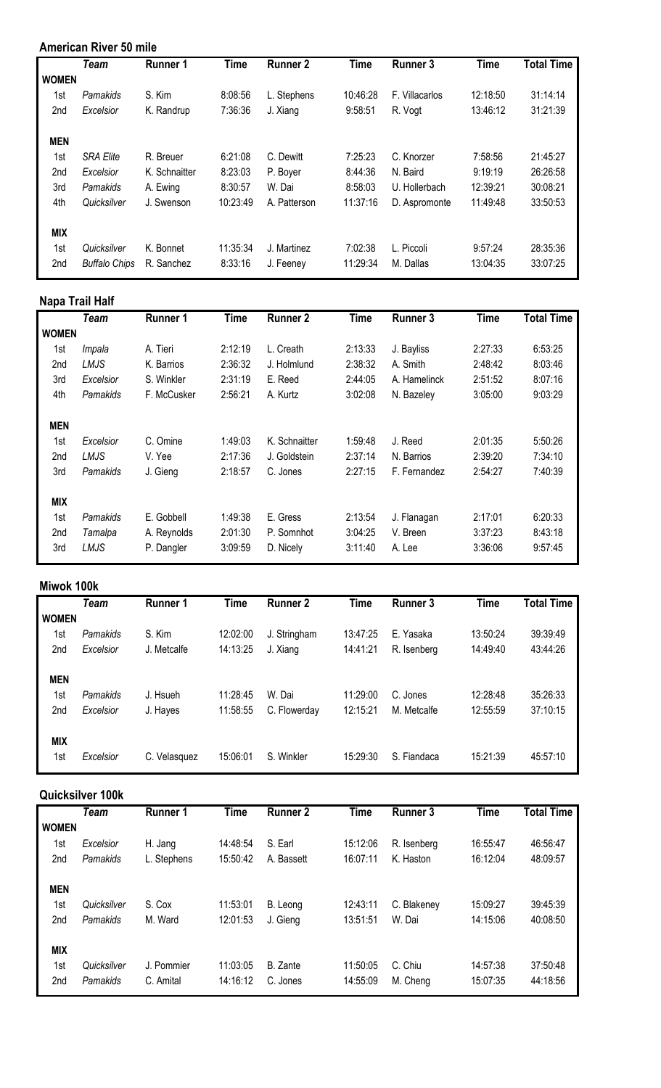#### **American River 50 mile**

|                 | <b>Team</b>          | <b>Runner 1</b> | <b>Time</b> | <b>Runner 2</b> | <b>Time</b> | <b>Runner 3</b> | <b>Time</b> | <b>Total Time</b> |
|-----------------|----------------------|-----------------|-------------|-----------------|-------------|-----------------|-------------|-------------------|
| <b>WOMEN</b>    |                      |                 |             |                 |             |                 |             |                   |
| 1st             | Pamakids             | S. Kim          | 8:08:56     | L. Stephens     | 10:46:28    | F. Villacarlos  | 12:18:50    | 31:14:14          |
| 2 <sub>nd</sub> | Excelsior            | K. Randrup      | 7:36:36     | J. Xiang        | 9:58:51     | R. Vogt         | 13:46:12    | 31:21:39          |
| <b>MEN</b>      |                      |                 |             |                 |             |                 |             |                   |
| 1st             | <b>SRA Elite</b>     | R. Breuer       | 6:21:08     | C. Dewitt       | 7:25:23     | C. Knorzer      | 7:58:56     | 21:45:27          |
| 2 <sub>nd</sub> | Excelsior            | K. Schnaitter   | 8:23:03     | P. Boyer        | 8:44:36     | N. Baird        | 9:19:19     | 26:26:58          |
| 3rd             | Pamakids             | A. Ewing        | 8:30:57     | W. Dai          | 8:58:03     | U. Hollerbach   | 12:39:21    | 30:08:21          |
| 4th             | Quicksilver          | J. Swenson      | 10:23:49    | A. Patterson    | 11:37:16    | D. Aspromonte   | 11:49:48    | 33:50:53          |
| <b>MIX</b>      |                      |                 |             |                 |             |                 |             |                   |
| 1st             | Quicksilver          | K. Bonnet       | 11:35:34    | J. Martinez     | 7:02:38     | L. Piccoli      | 9:57:24     | 28:35:36          |
| 2nd             | <b>Buffalo Chips</b> | R. Sanchez      | 8:33:16     | J. Feeney       | 11:29:34    | M. Dallas       | 13:04:35    | 33:07:25          |

#### **Napa Trail Half**

|                 | <b>Team</b> | <b>Runner 1</b> | <b>Time</b> | <b>Runner 2</b> | <b>Time</b> | <b>Runner 3</b> | <b>Time</b> | <b>Total Time</b> |
|-----------------|-------------|-----------------|-------------|-----------------|-------------|-----------------|-------------|-------------------|
| <b>WOMEN</b>    |             |                 |             |                 |             |                 |             |                   |
| 1st             | Impala      | A. Tieri        | 2:12:19     | L. Creath       | 2:13:33     | J. Bayliss      | 2:27:33     | 6:53:25           |
| 2nd             | LMJS        | K. Barrios      | 2:36:32     | J. Holmlund     | 2:38:32     | A. Smith        | 2:48:42     | 8:03:46           |
| 3rd             | Excelsior   | S. Winkler      | 2:31:19     | E. Reed         | 2:44:05     | A. Hamelinck    | 2:51:52     | 8:07:16           |
| 4th             | Pamakids    | F. McCusker     | 2:56:21     | A. Kurtz        | 3:02:08     | N. Bazeley      | 3:05:00     | 9:03:29           |
| <b>MEN</b>      |             |                 |             |                 |             |                 |             |                   |
| 1st             | Excelsior   | C. Omine        | 1:49:03     | K. Schnaitter   | 1:59:48     | J. Reed         | 2:01:35     | 5:50:26           |
| 2 <sub>nd</sub> | LMJS        | V. Yee          | 2:17:36     | J. Goldstein    | 2:37:14     | N. Barrios      | 2:39:20     | 7:34:10           |
| 3rd             | Pamakids    | J. Gieng        | 2:18:57     | C. Jones        | 2:27:15     | F. Fernandez    | 2:54:27     | 7:40:39           |
| <b>MIX</b>      |             |                 |             |                 |             |                 |             |                   |
| 1st             | Pamakids    | E. Gobbell      | 1:49:38     | E. Gress        | 2:13:54     | J. Flanagan     | 2:17:01     | 6:20:33           |
| 2nd             | Tamalpa     | A. Reynolds     | 2:01:30     | P. Somnhot      | 3:04:25     | V. Breen        | 3:37:23     | 8:43:18           |
| 3rd             | LMJS        | P. Dangler      | 3:09:59     | D. Nicely       | 3:11:40     | A. Lee          | 3:36:06     | 9:57:45           |

#### **Miwok 100k**

|                 | Team      | <b>Runner 1</b> | <b>Time</b> | <b>Runner 2</b> | <b>Time</b> | <b>Runner 3</b> | <b>Time</b> | <b>Total Time</b> |
|-----------------|-----------|-----------------|-------------|-----------------|-------------|-----------------|-------------|-------------------|
| <b>WOMEN</b>    |           |                 |             |                 |             |                 |             |                   |
| 1st             | Pamakids  | S. Kim          | 12:02:00    | J. Stringham    | 13:47:25    | E. Yasaka       | 13:50:24    | 39:39:49          |
| 2nd             | Excelsior | J. Metcalfe     | 14:13:25    | J. Xiang        | 14:41:21    | R. Isenberg     | 14:49:40    | 43:44:26          |
| <b>MEN</b>      |           |                 |             |                 |             |                 |             |                   |
| 1st             | Pamakids  | J. Hsueh        | 11:28:45    | W. Dai          | 11:29:00    | C. Jones        | 12:28:48    | 35:26:33          |
| 2 <sub>nd</sub> | Excelsior | J. Hayes        | 11:58:55    | C. Flowerday    | 12:15:21    | M. Metcalfe     | 12:55:59    | 37:10:15          |
| <b>MIX</b>      |           |                 |             |                 |             |                 |             |                   |
| 1st             | Excelsior | C. Velasquez    | 15:06:01    | S. Winkler      | 15:29:30    | S. Fiandaca     | 15:21:39    | 45:57:10          |

#### **Quicksilver 100k**

|              | Team        | <b>Runner 1</b> | <b>Time</b> | <b>Runner 2</b> | <b>Time</b> | <b>Runner 3</b> | <b>Time</b> | <b>Total Time</b> |
|--------------|-------------|-----------------|-------------|-----------------|-------------|-----------------|-------------|-------------------|
| <b>WOMEN</b> |             |                 |             |                 |             |                 |             |                   |
| 1st          | Excelsior   | H. Jang         | 14:48:54    | S. Earl         | 15:12:06    | R. Isenberg     | 16:55:47    | 46:56:47          |
| 2nd          | Pamakids    | L. Stephens     | 15:50:42    | A. Bassett      | 16:07:11    | K. Haston       | 16:12:04    | 48:09:57          |
| <b>MEN</b>   |             |                 |             |                 |             |                 |             |                   |
| 1st          | Quicksilver | S. Cox          | 11:53:01    | B. Leong        | 12:43:11    | C. Blakeney     | 15:09:27    | 39:45:39          |
| 2nd          | Pamakids    | M. Ward         | 12:01:53    | J. Gieng        | 13:51:51    | W. Dai          | 14:15:06    | 40:08:50          |
| <b>MIX</b>   |             |                 |             |                 |             |                 |             |                   |
| 1st          | Quicksilver | J. Pommier      | 11:03:05    | B. Zante        | 11:50:05    | C. Chiu         | 14:57:38    | 37:50:48          |
| 2nd          | Pamakids    | C. Amital       | 14:16:12    | C. Jones        | 14:55:09    | M. Cheng        | 15:07:35    | 44:18:56          |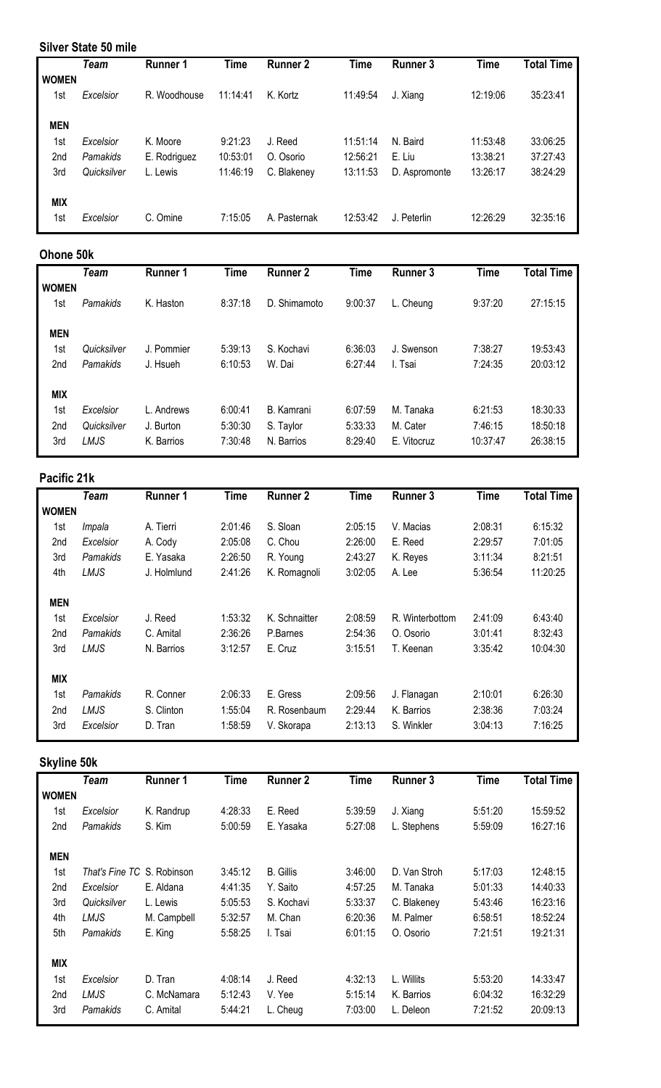#### **Silver State 50 mile**

|                 | Team        | <b>Runner 1</b> | Time     | <b>Runner 2</b> | <b>Time</b> | <b>Runner 3</b> | <b>Time</b> | <b>Total Time</b> |
|-----------------|-------------|-----------------|----------|-----------------|-------------|-----------------|-------------|-------------------|
| <b>WOMEN</b>    |             |                 |          |                 |             |                 |             |                   |
| 1st             | Excelsior   | R. Woodhouse    | 11:14:41 | K. Kortz        | 11:49:54    | J. Xiang        | 12:19:06    | 35:23:41          |
|                 |             |                 |          |                 |             |                 |             |                   |
| <b>MEN</b>      |             |                 |          |                 |             |                 |             |                   |
| 1st             | Excelsior   | K. Moore        | 9:21:23  | J. Reed         | 11:51:14    | N. Baird        | 11:53:48    | 33:06:25          |
| 2 <sub>nd</sub> | Pamakids    | E. Rodriguez    | 10:53:01 | O. Osorio       | 12:56:21    | E. Liu          | 13:38:21    | 37:27:43          |
| 3rd             | Quicksilver | L. Lewis        | 11:46:19 | C. Blakeney     | 13:11:53    | D. Aspromonte   | 13:26:17    | 38:24:29          |
|                 |             |                 |          |                 |             |                 |             |                   |
| <b>MIX</b>      |             |                 |          |                 |             |                 |             |                   |
| 1st             | Excelsior   | C. Omine        | 7:15:05  | A. Pasternak    | 12:53:42    | J. Peterlin     | 12:26:29    | 32:35:16          |

#### **Ohone 50k**

|              | <b>Team</b> | <b>Runner 1</b> | <b>Time</b> | <b>Runner 2</b> | Time    | <b>Runner 3</b> | <b>Time</b> | <b>Total Time</b> |
|--------------|-------------|-----------------|-------------|-----------------|---------|-----------------|-------------|-------------------|
| <b>WOMEN</b> |             |                 |             |                 |         |                 |             |                   |
| 1st          | Pamakids    | K. Haston       | 8:37:18     | D. Shimamoto    | 9:00:37 | L. Cheung       | 9:37:20     | 27:15:15          |
|              |             |                 |             |                 |         |                 |             |                   |
| <b>MEN</b>   |             |                 |             |                 |         |                 |             |                   |
| 1st          | Quicksilver | J. Pommier      | 5:39:13     | S. Kochavi      | 6:36:03 | J. Swenson      | 7:38:27     | 19:53:43          |
| 2nd          | Pamakids    | J. Hsueh        | 6:10:53     | W. Dai          | 6:27:44 | I. Tsai         | 7:24:35     | 20:03:12          |
|              |             |                 |             |                 |         |                 |             |                   |
| <b>MIX</b>   |             |                 |             |                 |         |                 |             |                   |
| 1st          | Excelsior   | L. Andrews      | 6:00:41     | B. Kamrani      | 6:07:59 | M. Tanaka       | 6:21:53     | 18:30:33          |
| 2nd          | Quicksilver | J. Burton       | 5:30:30     | S. Taylor       | 5:33:33 | M. Cater        | 7:46:15     | 18:50:18          |
| 3rd          | LMJS        | K. Barrios      | 7:30:48     | N. Barrios      | 8:29:40 | E. Vitocruz     | 10:37:47    | 26:38:15          |
|              |             |                 |             |                 |         |                 |             |                   |

#### **Pacific 21k**

|              | <b>Team</b> | <b>Runner 1</b> | <b>Time</b> | <b>Runner 2</b> | <b>Time</b> | <b>Runner 3</b> | <b>Time</b> | <b>Total Time</b> |
|--------------|-------------|-----------------|-------------|-----------------|-------------|-----------------|-------------|-------------------|
| <b>WOMEN</b> |             |                 |             |                 |             |                 |             |                   |
| 1st          | Impala      | A. Tierri       | 2:01:46     | S. Sloan        | 2:05:15     | V. Macias       | 2:08:31     | 6:15:32           |
| 2nd          | Excelsior   | A. Cody         | 2:05:08     | C. Chou         | 2:26:00     | E. Reed         | 2:29:57     | 7:01:05           |
| 3rd          | Pamakids    | E. Yasaka       | 2:26:50     | R. Young        | 2:43:27     | K. Reyes        | 3:11:34     | 8:21:51           |
| 4th          | LMJS        | J. Holmlund     | 2:41:26     | K. Romagnoli    | 3:02:05     | A. Lee          | 5:36:54     | 11:20:25          |
| <b>MEN</b>   |             |                 |             |                 |             |                 |             |                   |
| 1st          | Excelsior   | J. Reed         | 1:53:32     | K. Schnaitter   | 2:08:59     | R. Winterbottom | 2:41:09     | 6:43:40           |
| 2nd          | Pamakids    | C. Amital       | 2:36:26     | P.Barnes        | 2:54:36     | O. Osorio       | 3:01:41     | 8:32:43           |
| 3rd          | LMJS        | N. Barrios      | 3:12:57     | E. Cruz         | 3:15:51     | T. Keenan       | 3:35:42     | 10:04:30          |
| <b>MIX</b>   |             |                 |             |                 |             |                 |             |                   |
| 1st          | Pamakids    | R. Conner       | 2:06:33     | E. Gress        | 2:09:56     | J. Flanagan     | 2:10:01     | 6:26:30           |
| 2nd          | LMJS        | S. Clinton      | 1:55:04     | R. Rosenbaum    | 2:29:44     | K. Barrios      | 2:38:36     | 7:03:24           |
| 3rd          | Excelsior   | D. Tran         | 1:58:59     | V. Skorapa      | 2:13:13     | S. Winkler      | 3:04:13     | 7:16:25           |

## **Skyline 50k**

|              | <b>Team</b>                       | <b>Runner 1</b> | <b>Time</b> | <b>Runner 2</b>  | <b>Time</b> | <b>Runner 3</b> | <b>Time</b> | <b>Total Time</b> |
|--------------|-----------------------------------|-----------------|-------------|------------------|-------------|-----------------|-------------|-------------------|
| <b>WOMEN</b> |                                   |                 |             |                  |             |                 |             |                   |
| 1st          | Excelsior                         | K. Randrup      | 4:28:33     | E. Reed          | 5:39:59     | J. Xiang        | 5:51:20     | 15:59:52          |
| 2nd          | Pamakids                          | S. Kim          | 5:00:59     | E. Yasaka        | 5:27:08     | L. Stephens     | 5:59:09     | 16:27:16          |
| <b>MEN</b>   |                                   |                 |             |                  |             |                 |             |                   |
| 1st          | <i>That's Fine TC S. Robinson</i> |                 | 3:45:12     | <b>B.</b> Gillis | 3:46:00     | D. Van Stroh    | 5:17:03     | 12:48:15          |
| 2nd          | Excelsior                         | E. Aldana       | 4:41:35     | Y. Saito         | 4:57:25     | M. Tanaka       | 5:01:33     | 14:40:33          |
| 3rd          | Quicksilver                       | L. Lewis        | 5:05:53     | S. Kochavi       | 5:33:37     | C. Blakeney     | 5:43:46     | 16:23:16          |
| 4th          | LMJS                              | M. Campbell     | 5:32:57     | M. Chan          | 6:20:36     | M. Palmer       | 6:58:51     | 18:52:24          |
| 5th          | Pamakids                          | E. King         | 5:58:25     | I. Tsai          | 6:01:15     | O. Osorio       | 7:21:51     | 19:21:31          |
| <b>MIX</b>   |                                   |                 |             |                  |             |                 |             |                   |
| 1st          | Excelsior                         | D. Tran         | 4:08:14     | J. Reed          | 4:32:13     | L. Willits      | 5:53:20     | 14:33:47          |
| 2nd          | LMJS                              | C. McNamara     | 5:12:43     | V. Yee           | 5:15:14     | K. Barrios      | 6:04:32     | 16:32:29          |
| 3rd          | Pamakids                          | C. Amital       | 5:44:21     | L. Cheug         | 7:03:00     | L. Deleon       | 7:21:52     | 20:09:13          |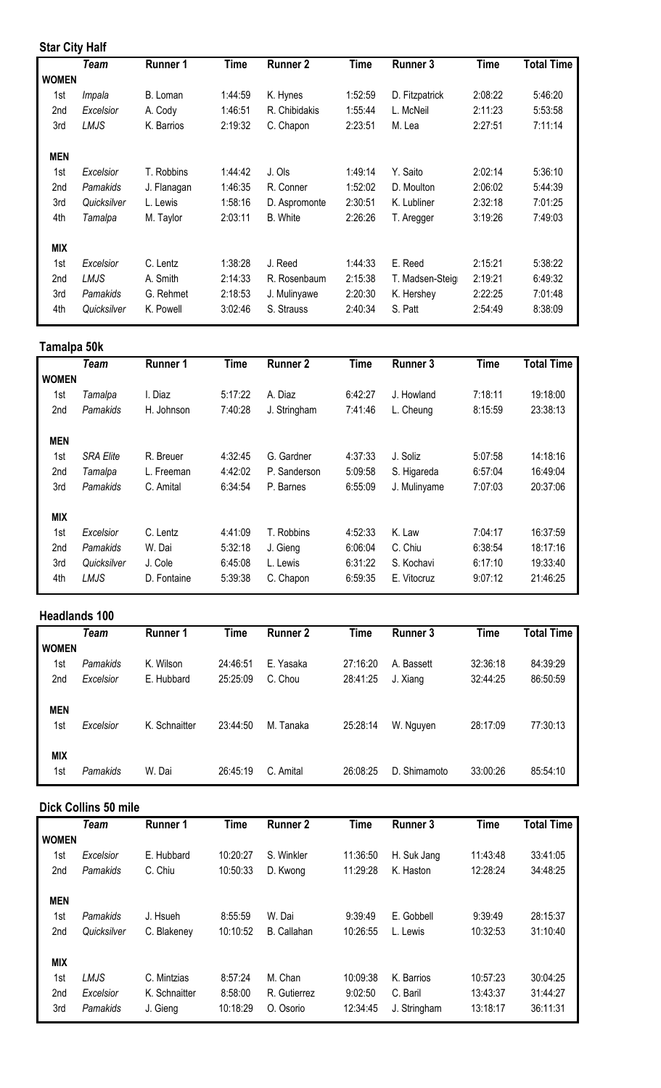#### **Star City Half**

|                 | <b>Team</b> | <b>Runner 1</b> | <b>Time</b> | <b>Runner 2</b> | <b>Time</b> | <b>Runner 3</b> | <b>Time</b> | <b>Total Time</b> |
|-----------------|-------------|-----------------|-------------|-----------------|-------------|-----------------|-------------|-------------------|
| <b>WOMEN</b>    |             |                 |             |                 |             |                 |             |                   |
| 1st             | Impala      | B. Loman        | 1:44:59     | K. Hynes        | 1:52:59     | D. Fitzpatrick  | 2:08:22     | 5:46:20           |
| 2nd             | Excelsior   | A. Cody         | 1:46:51     | R. Chibidakis   | 1:55:44     | L. McNeil       | 2:11:23     | 5:53:58           |
| 3rd             | LMJS        | K. Barrios      | 2:19:32     | C. Chapon       | 2:23:51     | M. Lea          | 2:27:51     | 7:11:14           |
| <b>MEN</b>      |             |                 |             |                 |             |                 |             |                   |
| 1st             | Excelsior   | T. Robbins      | 1:44:42     | J. Ols          | 1:49:14     | Y. Saito        | 2:02:14     | 5:36:10           |
| 2nd             | Pamakids    | J. Flanagan     | 1:46:35     | R. Conner       | 1:52:02     | D. Moulton      | 2:06:02     | 5:44:39           |
| 3rd             | Quicksilver | L. Lewis        | 1:58:16     | D. Aspromonte   | 2:30:51     | K. Lubliner     | 2:32:18     | 7:01:25           |
| 4th             | Tamalpa     | M. Taylor       | 2:03:11     | <b>B.</b> White | 2:26:26     | T. Aregger      | 3:19:26     | 7:49:03           |
| <b>MIX</b>      |             |                 |             |                 |             |                 |             |                   |
| 1st             | Excelsior   | C. Lentz        | 1:38:28     | J. Reed         | 1:44:33     | E. Reed         | 2:15:21     | 5:38:22           |
| 2 <sub>nd</sub> | LMJS        | A. Smith        | 2:14:33     | R. Rosenbaum    | 2:15:38     | T. Madsen-Steig | 2:19:21     | 6:49:32           |
| 3rd             | Pamakids    | G. Rehmet       | 2:18:53     | J. Mulinyawe    | 2:20:30     | K. Hershey      | 2:22:25     | 7:01:48           |
| 4th             | Quicksilver | K. Powell       | 3:02:46     | S. Strauss      | 2:40:34     | S. Patt         | 2:54:49     | 8:38:09           |

#### **Tamalpa 50k**

| I MIIIMINM AAIT  |                 |             |                 |             |                 |             |                   |
|------------------|-----------------|-------------|-----------------|-------------|-----------------|-------------|-------------------|
| <b>Team</b>      | <b>Runner 1</b> | <b>Time</b> | <b>Runner 2</b> | <b>Time</b> | <b>Runner 3</b> | <b>Time</b> | <b>Total Time</b> |
| <b>WOMEN</b>     |                 |             |                 |             |                 |             |                   |
| Tamalpa          | I. Diaz         | 5:17:22     | A. Diaz         | 6:42:27     | J. Howland      | 7:18:11     | 19:18:00          |
| Pamakids         | H. Johnson      | 7:40:28     | J. Stringham    | 7:41:46     | L. Cheung       | 8:15:59     | 23:38:13          |
|                  |                 |             |                 |             |                 |             |                   |
| <b>SRA Elite</b> | R. Breuer       | 4:32:45     | G. Gardner      | 4:37:33     | J. Soliz        | 5:07:58     | 14:18:16          |
| Tamalpa          | L. Freeman      | 4:42:02     | P. Sanderson    | 5:09:58     | S. Higareda     | 6:57:04     | 16:49:04          |
| Pamakids         | C. Amital       | 6:34:54     | P. Barnes       | 6:55:09     | J. Mulinyame    | 7:07:03     | 20:37:06          |
|                  |                 |             |                 |             |                 |             |                   |
| Excelsior        | C. Lentz        | 4:41:09     | T. Robbins      | 4:52:33     | K. Law          | 7:04:17     | 16:37:59          |
| Pamakids         | W. Dai          | 5:32:18     | J. Gieng        | 6:06:04     | C. Chiu         | 6:38:54     | 18:17:16          |
| Quicksilver      | J. Cole         | 6:45:08     | L. Lewis        | 6:31:22     | S. Kochavi      | 6:17:10     | 19:33:40          |
| LMJS             | D. Fontaine     | 5:39:38     | C. Chapon       | 6:59:35     | E. Vitocruz     | 9:07:12     | 21:46:25          |
|                  |                 |             |                 |             |                 |             |                   |

#### **Headlands 100**

| Team         | <b>Runner 1</b> | <b>Time</b> | <b>Runner 2</b> | <b>Time</b> | <b>Runner 3</b> | <b>Time</b> | <b>Total Time</b> |
|--------------|-----------------|-------------|-----------------|-------------|-----------------|-------------|-------------------|
| <b>WOMEN</b> |                 |             |                 |             |                 |             |                   |
| Pamakids     | K. Wilson       | 24:46:51    | E. Yasaka       | 27:16:20    | A. Bassett      | 32:36:18    | 84:39:29          |
| Excelsior    | E. Hubbard      | 25:25:09    | C. Chou         | 28:41:25    | J. Xiang        | 32:44:25    | 86:50:59          |
|              |                 |             |                 |             |                 |             |                   |
| Excelsior    | K. Schnaitter   | 23:44:50    | M. Tanaka       | 25:28:14    | W. Nguyen       | 28:17:09    | 77:30:13          |
|              |                 |             |                 |             |                 |             |                   |
| Pamakids     | W. Dai          | 26:45:19    | C. Amital       | 26:08:25    | D. Shimamoto    | 33:00:26    | 85:54:10          |
|              |                 |             |                 |             |                 |             |                   |

#### **Dick Collins 50 mile**

|              | Team        | <b>Runner 1</b> | <b>Time</b> | <b>Runner 2</b> | <b>Time</b> | <b>Runner 3</b> | <b>Time</b> | <b>Total Time</b> |
|--------------|-------------|-----------------|-------------|-----------------|-------------|-----------------|-------------|-------------------|
| <b>WOMEN</b> |             |                 |             |                 |             |                 |             |                   |
| 1st          | Excelsior   | E. Hubbard      | 10:20:27    | S. Winkler      | 11:36:50    | H. Suk Jang     | 11:43:48    | 33:41:05          |
| 2nd          | Pamakids    | C. Chiu         | 10:50:33    | D. Kwong        | 11:29:28    | K. Haston       | 12:28:24    | 34:48:25          |
| <b>MEN</b>   |             |                 |             |                 |             |                 |             |                   |
| 1st          | Pamakids    | J. Hsueh        | 8:55:59     | W. Dai          | 9:39:49     | E. Gobbell      | 9:39:49     | 28:15:37          |
| 2nd          | Quicksilver | C. Blakeney     | 10:10:52    | B. Callahan     | 10:26:55    | L. Lewis        | 10:32:53    | 31:10:40          |
| <b>MIX</b>   |             |                 |             |                 |             |                 |             |                   |
| 1st          | LMJS        | C. Mintzias     | 8:57:24     | M. Chan         | 10:09:38    | K. Barrios      | 10:57:23    | 30:04:25          |
| 2nd          | Excelsior   | K. Schnaitter   | 8:58:00     | R. Gutierrez    | 9:02:50     | C. Baril        | 13:43:37    | 31:44:27          |
| 3rd          | Pamakids    | J. Gieng        | 10:18:29    | O. Osorio       | 12:34:45    | J. Stringham    | 13:18:17    | 36:11:31          |